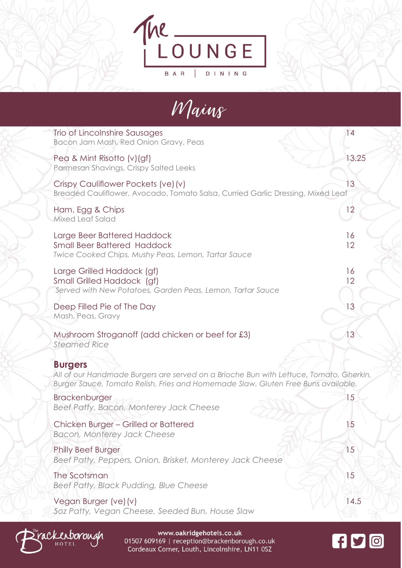



| Trio of Lincolnshire Sausages<br>Bacon Jam Mash, Red Onion Gravy, Peas                                                                                                                        | 14       |
|-----------------------------------------------------------------------------------------------------------------------------------------------------------------------------------------------|----------|
| Pea & Mint Risotto (v)(gf)<br>Parmesan Shavings, Crispy Salted Leeks                                                                                                                          | 13.25    |
| Crispy Cauliflower Pockets (ve) (v)<br>Breaded Cauliflower, Avocado, Tomato Salsa, Curried Garlic Dressing, Mixed Leaf                                                                        | 3        |
| Ham, Egg & Chips<br><b>Mixed Leaf Salad</b>                                                                                                                                                   | 12       |
| Large Beer Battered Haddock<br><b>Small Beer Battered Haddock</b><br>Twice Cooked Chips, Mushy Peas, Lemon, Tartar Sauce                                                                      | 16<br>12 |
| Large Grilled Haddock (gf)<br>Small Grilled Haddock (gf)<br>Served with New Potatoes, Garden Peas, Lemon, Tartar Sauce                                                                        | 16<br>12 |
| Deep Filled Pie of The Day<br>Mash, Peas, Gravy                                                                                                                                               | 13       |
| Mushroom Stroganoff (add chicken or beef for £3)<br><b>Steamed Rice</b>                                                                                                                       | 13       |
| <b>Burgers</b><br>All of our Handmade Burgers are served on a Brioche Bun with Lettuce, Tomato, Gherkin,<br>Burger Sauce, Tomato Relish, Fries and Homemade Slaw. Gluten Free Buns available. |          |
| <b>Brackenburger</b><br>Beef Patty, Bacon, Monterey Jack Cheese                                                                                                                               | 15       |
| Chicken Burger - Grilled or Battered<br>Bacon, Monterey Jack Cheese                                                                                                                           | 15       |
| <b>Philly Beef Burger</b><br>Beef Patty, Peppers, Onion, Brisket, Monterey Jack Cheese                                                                                                        | 15       |
| The Scotsman<br>Beef Patty, Black Pudding, Blue Cheese                                                                                                                                        | 15       |
|                                                                                                                                                                                               |          |

Vegan Burger (ve) (v) 14.5 *5oz Patty, Vegan Cheese, Seeded Bun, House Slaw* 



www.oakridgehotels.co.uk 01507 609169 | reception@brackenborough.co.uk Cordeaux Corner, Louth, Lincolnshire, LN11 0SZ